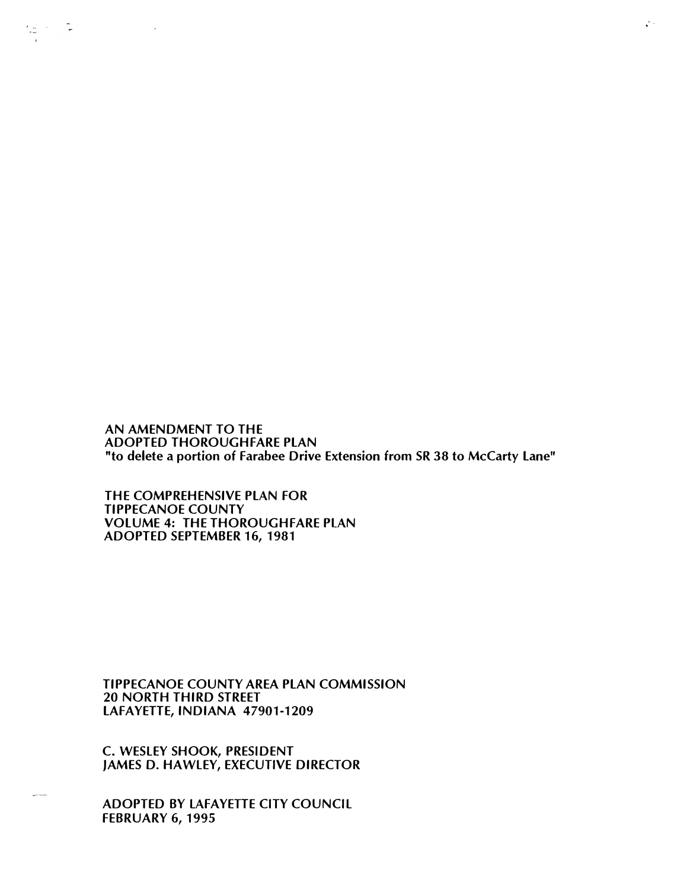AN AMENDMENT TO THE ADOPTED THOROUGHFARE PLAN "to delete a portion of Farabee Drive Extension from SR 38 to McCarty Lane"

THE COMPREHENSIVE PLAN FOR TIPPECANOE COUNTY VOLUME 4: THE THOROUGHFARE PLAN ADOPTED SEPTEMBER 16, 1981

 $\frac{1}{2}$  ,  $\frac{1}{2}$  ,  $\frac{1}{2}$ 

TIPPECANOE COUNTY AREA PLAN COMMISSION 20 NORTH THIRD STREET LAFAYETTE, INDIANA 47901-1209

C. WESLEY SHOOK, PRESIDENT JAMES D. HAWLEY, EXECUTIVE DIRECTOR

ADOPTED BY LAFAYETTE CITY COUNCIL FEBRUARY 6, 1995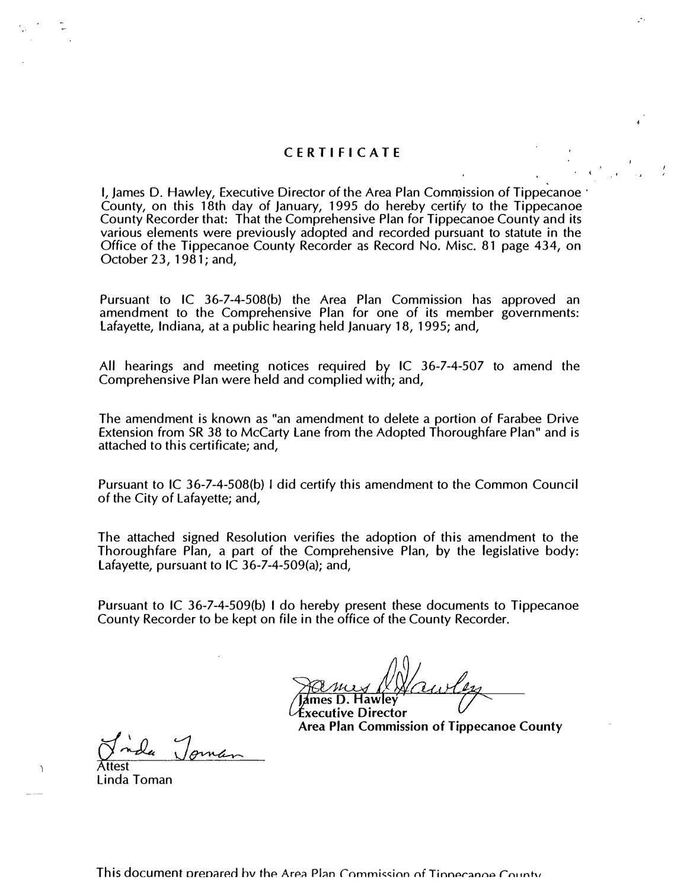## CE RTIFIC AT E

 $\cdot$   $\cdot$ 

I, James D. Hawley, Executive Director of the Area Plan Commission of Tippecanoe · County, on this 18th day of January, 1995 do hereby certify to the Tippecanoe County Recorder that: That the Comprehensive Plan for Tippecanoe County and its various elements were previously adopted and recorded pursuant to statute in the Office of the Tippecanoe County Recorder as Record No. Misc. 81 page 434, on October 23, 1981; and,

Pursuant to IC 36-7-4-508(b) the Area Plan Commission has approved an amendment to the Comprehensive Plan for one of its member governments: Lafayette, Indiana, at a public hearing held January 18, 1995; and,

All hearings and meeting notices required by IC 36-7-4-507 to amend the Comprehensive Plan were held and complied with; and,

The amendment is known as "an amendment to delete a portion of Farabee Drive Extension from SR 38 to McCarty Lane from the Adopted Thoroughfare Plan" and is attached to this certificate; and,

Pursuant to IC 36-7-4-508(b) I did certify this amendment to the Common Council of the City of Lafayette; and,

The attached signed Resolution verifies the adoption of this amendment to the Thoroughfare Plan, a part of the Comprehensive Plan, by the legislative body: Lafayette, pursuant to IC 36-7-4-509(a); and,

Pursuant to IC 36-7-4-509(b) I do hereby present these documents to Tippecanoe County Recorder to be kept on file in the office of the County Recorder.

He wes Maurley<br>Tames D. Hawley<br>Executive Director **Hawley** 

Area Plan Commission of Tippecanoe County

Jida Joman Attest

Linda Toman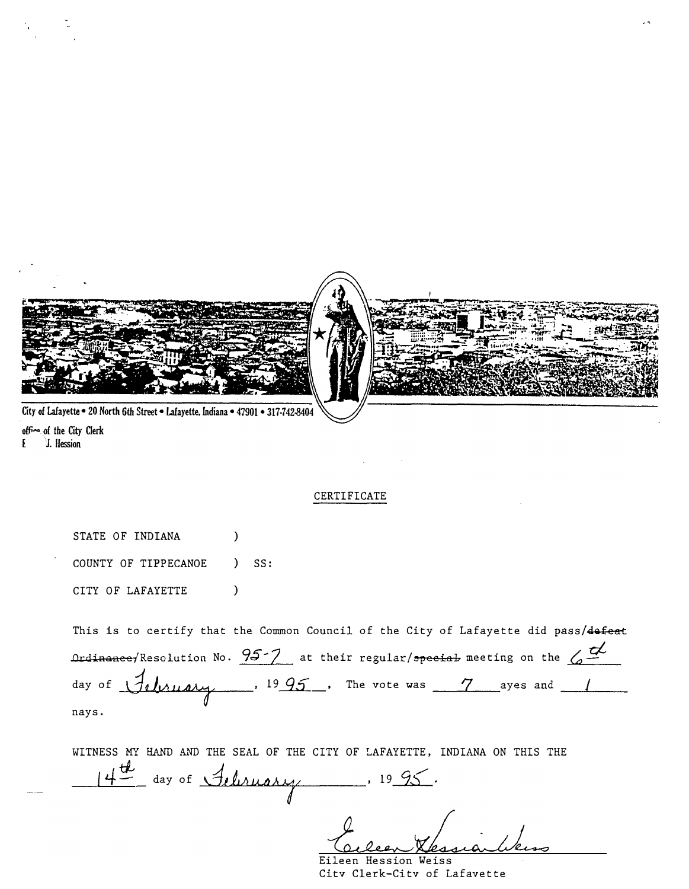

office of the City Clerk J. Hession £

## CERTIFICATE

STATE OF INDIANA  $\lambda$ COUNTY OF TIPPECANOE  $SS:$  $\lambda$ CITY OF LAFAYETTE  $\mathcal{L}$ 

This is to certify that the Common Council of the City of Lafayette did pass/defeat  $\Delta$  ordinance/Resolution No.  $95-7$  at their regular/special meeting on the  $\Delta$ day of *Jelenary*, 1995, The vote was 7 ayes and 1 nays.

WITNESS MY HAND AND THE SEAL OF THE CITY OF LAFAYETTE, INDIANA ON THIS THE 4 day of Seliruary 1995.

Eileen Hession Weiss City Clerk-City of Lafavette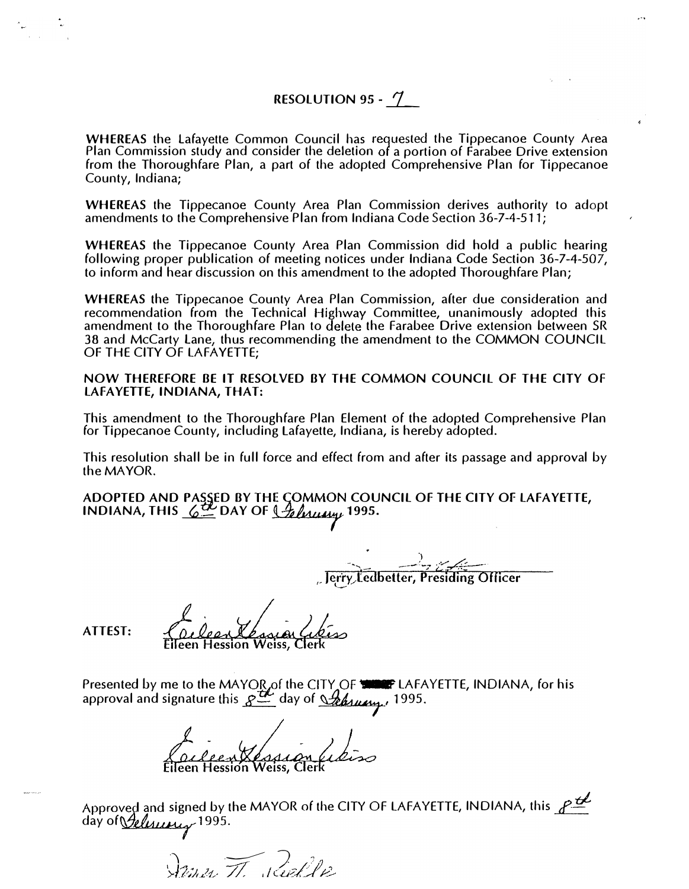## RESOLUTION 95 - 7

WHEREAS the Lafayette Common Council has requested the Tippecanoe County Area Plan Commission study and consider the deletion of a portion of Farabee Drive extension from the Thoroughfare Plan, a part of the adopted Comprehensive Plan for Tippecanoe County, Indiana;

WHEREAS the Tippecanoe County Area Plan Commission derives authority to adopt amendments to the Comprehensive Plan from Indiana Code Section 36-7-4-511;

WHEREAS the Tippecanoe County Area Plan Commission did hold a public hearing following proper publication of meeting notices under Indiana Code Section 36-7-4-507, to inform and hear discussion on this amendment to the adopted Thoroughfare Plan;

Highway delete WHEREAS the Tippecanoe County Area Plan Commission, after due consideration and recommendation from the Technical Highway Committee, unanimously adopted this amendment to the Thoroughfare Plan to the Farabee Drive extension between SR 38 and McCarty lane, thus recommending the amendment to the COMMON COUNCIL OF THE CITY OF LAFAYETTE;

NOW THEREFORE BE IT RESOlVED BY THE COMMON COUNCIL OF THE CITY Of LAFAYETTE, INDIANA, THAT:

This amendment to the Thoroughfare Plan Element of the adopted Comprehensive Plan for Tippecanoe County, including lafayette, Indiana, is hereby adopted.

This resolution shall be in full force and effect from and after its passage and approval by the MAYOR.

the MAYOR.<br>ADOPTED AND PASSED BY THE COMMON COUNCIL OF THE CITY OF LAFAYETTE, INDIANA, THIS  $6\frac{H}{2}$  DAY OF  $9h$   $\frac{H}{2}$   $\frac{H}{2}$  1995.

 $\frac{1}{\sqrt{1-\frac{1}{2}}\sqrt{1-\frac{1}{2}}\sqrt{1-\frac{1}{2}}\sqrt{1-\frac{1}{2}}\sqrt{1-\frac{1}{2}}\sqrt{1-\frac{1}{2}}\sqrt{1-\frac{1}{2}}\sqrt{1-\frac{1}{2}}\sqrt{1-\frac{1}{2}}\sqrt{1-\frac{1}{2}}\sqrt{1-\frac{1}{2}}\sqrt{1-\frac{1}{2}}\sqrt{1-\frac{1}{2}}\sqrt{1-\frac{1}{2}}\sqrt{1-\frac{1}{2}}\sqrt{1-\frac{1}{2}}\sqrt{1-\frac{1}{2}}\sqrt{1-\frac{1}{2}}\sqrt{1-\frac{1}{2}}\sqrt{1-\frac$ 

ATTEST:

Presented by me to the MAYOR of the CITY OF THE LAFAYETTE, INDIANA, for his<br>approval and signature this Redday of <u>Steatung</u>, 1995. approval and signature day of 1995.

Approved and signed by the MAYOR of the CITY OF LAFAYETTE, INDIANA, this  $P^{\underline{\mathcal{L}}^{\mathcal{L}}}$ day of *Pelisium* 1995.

 $\sqrt{\lim_{\mathcal{U}}\mathcal{U}}$  . Rightle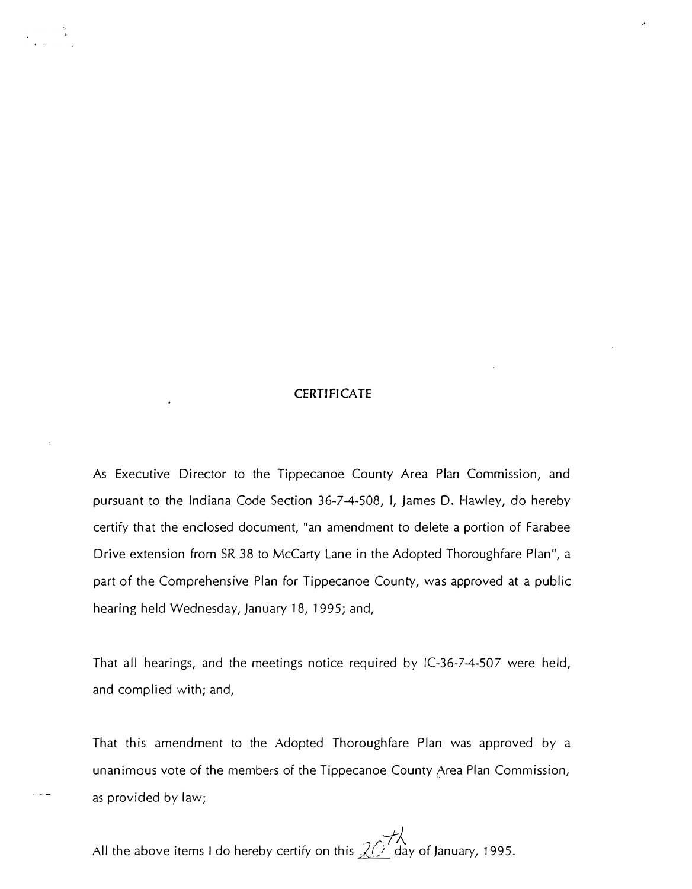## **CERTIFICATE**

..

As Executive Director to the Tippecanoe County Area Plan Commission, and pursuant to the Indiana Code Section 36-7-4-508, I, James D. Hawley, do hereby certify that the enclosed document, "an amendment to delete a portion of Farabee Drive extension from SR 38 to McCarty Lane in the Adopted Thoroughfare Plan", a part of the Comprehensive Plan for Tippecanoe County, was approved at a public hearing held Wednesday, January 18, 1995; and,

That all hearings, and the meetings notice required by IC-36-7-4-507 were held, and complied with; and,

That this amendment to the Adopted Thoroughfare Plan was approved by a unanimous vote of the members of the Tippecanoe County Area Plan Commission, as provided by law;

All the above items I do hereby certify on this  $\chi$   $\rightarrow$  day of January, 1995.